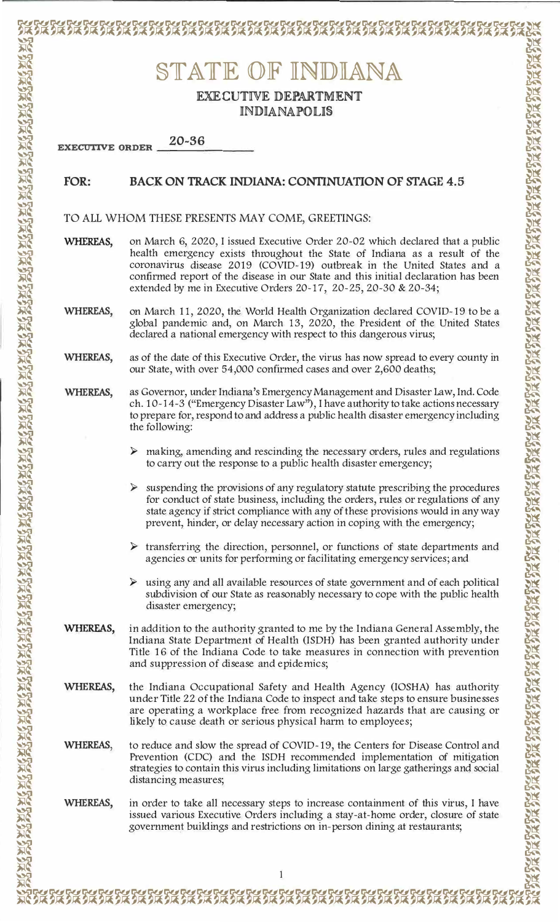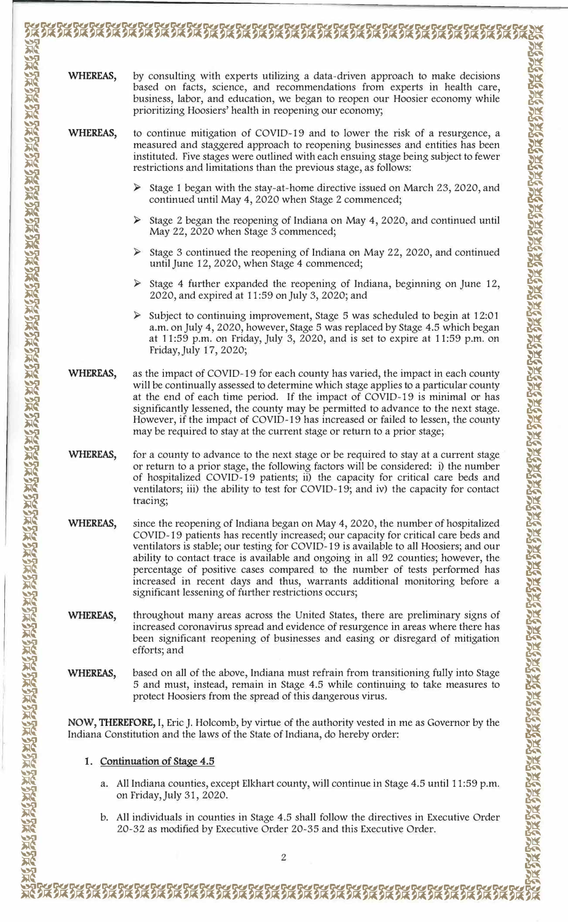| prioritizing Hoosiers' health in reopening our economy;<br>restrictions and limitations than the previous stage, as follows:<br>$\blacktriangleright$<br>continued until May 4, 2020 when Stage 2 commenced;<br>May 22, 2020 when Stage 3 commenced;<br>until June 12, 2020, when Stage 4 commenced;<br>2020, and expired at 11:59 on July 3, 2020; and<br>Friday, July 17, 2020;<br>WHEREAS,<br>may be required to stay at the current stage or return to a prior stage;<br>WHEREAS,<br>tracing;<br>significant lessening of further restrictions occurs;<br>efforts; and<br>protect Hoosiers from the spread of this dangerous virus.<br>NOW, THEREFORE, I, Eric J. Holcomb, by virtue of the authority vested in me as Governor by the<br>Indiana Constitution and the laws of the State of Indiana, do hereby order:<br>1. Continuation of Stage 4.5<br>a. All Indiana counties, except Elkhart county, will continue in Stage 4.5 until 11:59 p.m.<br>on Friday, July 31, 2020.<br>b. All individuals in counties in Stage 4.5 shall follow the directives in Executive Order<br>20-32 as modified by Executive Order 20-35 and this Executive Order.<br>$\overline{2}$ | WHEREAS, |                                                                                                                                                                                                                                                                                                                                                                                                                                                                                                                 |
|------------------------------------------------------------------------------------------------------------------------------------------------------------------------------------------------------------------------------------------------------------------------------------------------------------------------------------------------------------------------------------------------------------------------------------------------------------------------------------------------------------------------------------------------------------------------------------------------------------------------------------------------------------------------------------------------------------------------------------------------------------------------------------------------------------------------------------------------------------------------------------------------------------------------------------------------------------------------------------------------------------------------------------------------------------------------------------------------------------------------------------------------------------------------------|----------|-----------------------------------------------------------------------------------------------------------------------------------------------------------------------------------------------------------------------------------------------------------------------------------------------------------------------------------------------------------------------------------------------------------------------------------------------------------------------------------------------------------------|
|                                                                                                                                                                                                                                                                                                                                                                                                                                                                                                                                                                                                                                                                                                                                                                                                                                                                                                                                                                                                                                                                                                                                                                              |          | by consulting with experts utilizing a data-driven approach to make decisions<br>based on facts, science, and recommendations from experts in health care,<br>business, labor, and education, we began to reopen our Hoosier economy while                                                                                                                                                                                                                                                                      |
|                                                                                                                                                                                                                                                                                                                                                                                                                                                                                                                                                                                                                                                                                                                                                                                                                                                                                                                                                                                                                                                                                                                                                                              | WHEREAS, | to continue mitigation of COVID-19 and to lower the risk of a resurgence, a<br>measured and staggered approach to reopening businesses and entities has been<br>instituted. Five stages were outlined with each ensuing stage being subject to fewer                                                                                                                                                                                                                                                            |
|                                                                                                                                                                                                                                                                                                                                                                                                                                                                                                                                                                                                                                                                                                                                                                                                                                                                                                                                                                                                                                                                                                                                                                              |          | Stage 1 began with the stay-at-home directive issued on March 23, 2020, and                                                                                                                                                                                                                                                                                                                                                                                                                                     |
|                                                                                                                                                                                                                                                                                                                                                                                                                                                                                                                                                                                                                                                                                                                                                                                                                                                                                                                                                                                                                                                                                                                                                                              |          | Stage 2 began the reopening of Indiana on May 4, 2020, and continued until                                                                                                                                                                                                                                                                                                                                                                                                                                      |
|                                                                                                                                                                                                                                                                                                                                                                                                                                                                                                                                                                                                                                                                                                                                                                                                                                                                                                                                                                                                                                                                                                                                                                              |          | Stage 3 continued the reopening of Indiana on May 22, 2020, and continued                                                                                                                                                                                                                                                                                                                                                                                                                                       |
|                                                                                                                                                                                                                                                                                                                                                                                                                                                                                                                                                                                                                                                                                                                                                                                                                                                                                                                                                                                                                                                                                                                                                                              |          | Stage 4 further expanded the reopening of Indiana, beginning on June 12,                                                                                                                                                                                                                                                                                                                                                                                                                                        |
|                                                                                                                                                                                                                                                                                                                                                                                                                                                                                                                                                                                                                                                                                                                                                                                                                                                                                                                                                                                                                                                                                                                                                                              |          | Subject to continuing improvement, Stage 5 was scheduled to begin at 12:01<br>a.m. on July 4, 2020, however, Stage 5 was replaced by Stage 4.5 which began<br>at 11:59 p.m. on Friday, July 3, 2020, and is set to expire at 11:59 p.m. on                                                                                                                                                                                                                                                                      |
|                                                                                                                                                                                                                                                                                                                                                                                                                                                                                                                                                                                                                                                                                                                                                                                                                                                                                                                                                                                                                                                                                                                                                                              |          | as the impact of COVID-19 for each county has varied, the impact in each county<br>will be continually assessed to determine which stage applies to a particular county<br>at the end of each time period. If the impact of COVID-19 is minimal or has<br>significantly lessened, the county may be permitted to advance to the next stage.<br>However, if the impact of COVID-19 has increased or failed to lessen, the county                                                                                 |
|                                                                                                                                                                                                                                                                                                                                                                                                                                                                                                                                                                                                                                                                                                                                                                                                                                                                                                                                                                                                                                                                                                                                                                              |          | for a county to advance to the next stage or be required to stay at a current stage<br>or return to a prior stage, the following factors will be considered: i) the number<br>of hospitalized COVID-19 patients; ii) the capacity for critical care beds and<br>ventilators; iii) the ability to test for COVID-19; and iv) the capacity for contact                                                                                                                                                            |
|                                                                                                                                                                                                                                                                                                                                                                                                                                                                                                                                                                                                                                                                                                                                                                                                                                                                                                                                                                                                                                                                                                                                                                              | WHEREAS, | since the reopening of Indiana began on May 4, 2020, the number of hospitalized<br>COVID-19 patients has recently increased; our capacity for critical care beds and<br>ventilators is stable; our testing for COVID-19 is available to all Hoosiers; and our<br>ability to contact trace is available and ongoing in all 92 counties; however, the<br>percentage of positive cases compared to the number of tests performed has<br>increased in recent days and thus, warrants additional monitoring before a |
|                                                                                                                                                                                                                                                                                                                                                                                                                                                                                                                                                                                                                                                                                                                                                                                                                                                                                                                                                                                                                                                                                                                                                                              | WHEREAS, | throughout many areas across the United States, there are preliminary signs of<br>increased coronavirus spread and evidence of resurgence in areas where there has<br>been significant reopening of businesses and easing or disregard of mitigation                                                                                                                                                                                                                                                            |
|                                                                                                                                                                                                                                                                                                                                                                                                                                                                                                                                                                                                                                                                                                                                                                                                                                                                                                                                                                                                                                                                                                                                                                              | WHEREAS, | based on all of the above, Indiana must refrain from transitioning fully into Stage<br>5 and must, instead, remain in Stage 4.5 while continuing to take measures to                                                                                                                                                                                                                                                                                                                                            |
|                                                                                                                                                                                                                                                                                                                                                                                                                                                                                                                                                                                                                                                                                                                                                                                                                                                                                                                                                                                                                                                                                                                                                                              |          |                                                                                                                                                                                                                                                                                                                                                                                                                                                                                                                 |
|                                                                                                                                                                                                                                                                                                                                                                                                                                                                                                                                                                                                                                                                                                                                                                                                                                                                                                                                                                                                                                                                                                                                                                              |          |                                                                                                                                                                                                                                                                                                                                                                                                                                                                                                                 |
|                                                                                                                                                                                                                                                                                                                                                                                                                                                                                                                                                                                                                                                                                                                                                                                                                                                                                                                                                                                                                                                                                                                                                                              |          |                                                                                                                                                                                                                                                                                                                                                                                                                                                                                                                 |
|                                                                                                                                                                                                                                                                                                                                                                                                                                                                                                                                                                                                                                                                                                                                                                                                                                                                                                                                                                                                                                                                                                                                                                              |          |                                                                                                                                                                                                                                                                                                                                                                                                                                                                                                                 |
|                                                                                                                                                                                                                                                                                                                                                                                                                                                                                                                                                                                                                                                                                                                                                                                                                                                                                                                                                                                                                                                                                                                                                                              |          |                                                                                                                                                                                                                                                                                                                                                                                                                                                                                                                 |

W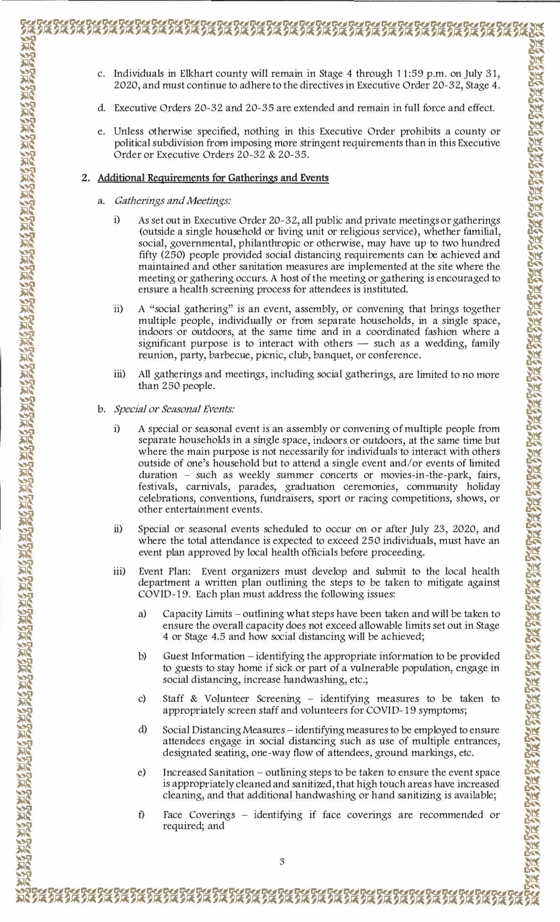- 医无效 医发光发光 医光线 医双胎 医双胎 医双胎 医双胎 医双胎 医双胎 医双胎 医双脑反应
- Individuals in Elkhart county will remain in Stage 4 through 11:59 p.m. on July 31,  $C<sub>1</sub>$ 2020, and must continue to adhere to the directives in Executive Order 20-32, Stage 4.

- d. Executive Orders 20-32 and 20-35 are extended and remain in full force and effect.
- e. Unless otherwise specified, nothing in this Executive Order prohibits a county or political subdivision from imposing more stringent requirements than in this Executive Order or Executive Orders 20-32 & 20-35.

## 2. Additional Requirements for Gatherings and Events

- a. Gatherings and Meetings:
	- As set out in Executive Order 20~32, all public and private meetings or gatherings  $i)$ (outside a single household or living unit or religious service), whether familial, social, governmental, philanthropic or otherwise, may have up to two hundred fifty (250) people provided social distancing requirements can be achieved and maintained and other sanitation measures are implemented at the site where the meeting or gathering occurs. A host of the meeting or gathering is encouraged to ensure a health screening process for attendees is instituted.
	- A "social gathering" is an event, assembly, or convening that brings together  $\overline{11}$ multiple people, individually or from separate households, in a single space, indoors or outdoors, at the same time and in a coordinated fashion where a significant purpose is to interact with others — such as a wedding, family reunion, party, barbecue, picnic, club, banquet, or conference.
	- iii) All gatherings and meetings, including social gatherings, are limited to no more than 250 people.
- b. Special or Seasonal Events:
	- $i)$ A special or seasonal event is an assembly or convening of multiple people from separate households in a single space, indoors or outdoors, at the same time but where the main purpose is not necessarily for individuals to interact with others outside of one's household but to attend a single event and/or events of limited duration - such as weekly summer concerts or movies-in-the-park, fairs, festivals, carnivals, parades, graduation ceremonies, community holiday celebrations, conventions, fundraisers, sport or racing competitions, shows, or other entertainment events.
	- $ii)$ Special or seasonal events scheduled to occur on or after July 23, 2020, and where the total attendance is expected to exceed 250 individuals, must have an event plan approved by local health officials before proceeding.
	- $\overline{iii}$ Event Plan: Event organizers must develop and submit to the local health department a written plan outlining the steps to be taken to mitigate against COVID-19. Each plan must address the following issues:
		- Capacity Limits outlining what steps have been taken and will be taken to a) ensure the overall capacity does not exceed allowable limits set out in Stage 4 or Stage 4.5 and how social distancing will be achieved;
		- $b)$ Guest Information – identifying the appropriate information to be provided to guests to stay home if sick or part of a vulnerable population, engage in social distancing, increase handwashing, etc.;
		- Staff & Volunteer Screening identifying measures to be taken to  $\mathcal{C}$ appropriately screen staff and volunteers for COVID-19 symptoms;
		- Social Distancing Measures identifying measures to be employed to ensure  $\rm d$ attendees engage in social distancing such as use of multiple entrances, designated seating, one-way flow of attendees, ground markings, etc.
		- Increased Sanitation outlining steps to be taken to ensure the event space  $e)$ is appropriately cleaned and sanitized, that high touch areas have increased cleaning, and that additional handwashing or hand sanitizing is available;
		- $f$ Face Coverings – identifying if face coverings are recommended or required; and